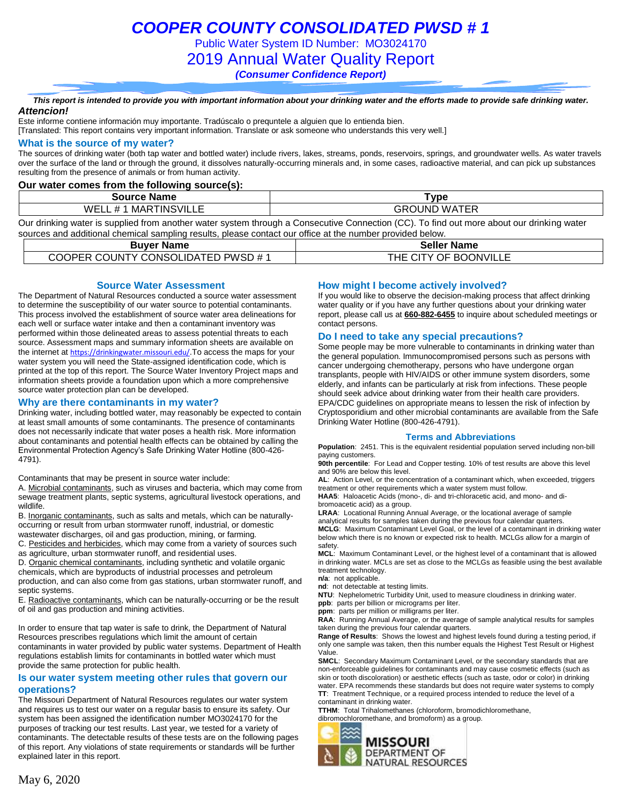Public Water System ID Number: MO3024170

2019 Annual Water Quality Report

*(Consumer Confidence Report)*

### *This report is intended to provide you with important information about your drinking water and the efforts made to provide safe drinking water. Attencion!*

Este informe contiene información muy importante. Tradúscalo o prequntele a alguien que lo entienda bien.

[Translated: This report contains very important information. Translate or ask someone who understands this very well.]

### **What is the source of my water?**

The sources of drinking water (both tap water and bottled water) include rivers, lakes, streams, ponds, reservoirs, springs, and groundwater wells. As water travels over the surface of the land or through the ground, it dissolves naturally-occurring minerals and, in some cases, radioactive material, and can pick up substances resulting from the presence of animals or from human activity.

### **Our water comes from the following source(s):**

| Name<br>Source                                          | vpe                                                |
|---------------------------------------------------------|----------------------------------------------------|
| TINSVILLE<br>.<br>W⊢<br>MAR<br><b>TT</b><br>י ע<br>---- | $\sim$ $  -$<br>.)UNF<br>W A<br>117<br>--<br>. – r |

Our drinking water is supplied from another water system through a Consecutive Connection (CC). To find out more about our drinking water sources and additional chemical sampling results, please contact our office at the number provided below.

| <b>Buver Name</b>                  | <b>Seller Name</b>    |
|------------------------------------|-----------------------|
| COOPER COUNTY CONSOLIDATED PWSD #1 | THE CITY OF BOONVILLE |

## **Source Water Assessment**

The Department of Natural Resources conducted a source water assessment to determine the susceptibility of our water source to potential contaminants. This process involved the establishment of source water area delineations for each well or surface water intake and then a contaminant inventory was performed within those delineated areas to assess potential threats to each source. Assessment maps and summary information sheets are available on the internet at <https://drinkingwater.missouri.edu/>. To access the maps for your water system you will need the State-assigned identification code, which is printed at the top of this report. The Source Water Inventory Project maps and information sheets provide a foundation upon which a more comprehensive source water protection plan can be developed.

### **Why are there contaminants in my water?**

Drinking water, including bottled water, may reasonably be expected to contain at least small amounts of some contaminants. The presence of contaminants does not necessarily indicate that water poses a health risk. More information about contaminants and potential health effects can be obtained by calling the Environmental Protection Agency's Safe Drinking Water Hotline (800-426- 4791).

Contaminants that may be present in source water include:

A. Microbial contaminants, such as viruses and bacteria, which may come from sewage treatment plants, septic systems, agricultural livestock operations, and wildlife.

B. Inorganic contaminants, such as salts and metals, which can be naturallyoccurring or result from urban stormwater runoff, industrial, or domestic wastewater discharges, oil and gas production, mining, or farming.

C. Pesticides and herbicides, which may come from a variety of sources such as agriculture, urban stormwater runoff, and residential uses.

D. Organic chemical contaminants, including synthetic and volatile organic chemicals, which are byproducts of industrial processes and petroleum production, and can also come from gas stations, urban stormwater runoff, and septic systems.

E. Radioactive contaminants, which can be naturally-occurring or be the result of oil and gas production and mining activities.

In order to ensure that tap water is safe to drink, the Department of Natural Resources prescribes regulations which limit the amount of certain contaminants in water provided by public water systems. Department of Health regulations establish limits for contaminants in bottled water which must provide the same protection for public health.

### **Is our water system meeting other rules that govern our operations?**

The Missouri Department of Natural Resources regulates our water system and requires us to test our water on a regular basis to ensure its safety. Our system has been assigned the identification number MO3024170 for the purposes of tracking our test results. Last year, we tested for a variety of contaminants. The detectable results of these tests are on the following pages of this report. Any violations of state requirements or standards will be further explained later in this report.

### **How might I become actively involved?**

If you would like to observe the decision-making process that affect drinking water quality or if you have any further questions about your drinking water report, please call us at **660-882-6455** to inquire about scheduled meetings or contact persons.

### **Do I need to take any special precautions?**

Some people may be more vulnerable to contaminants in drinking water than the general population. Immunocompromised persons such as persons with cancer undergoing chemotherapy, persons who have undergone organ transplants, people with HIV/AIDS or other immune system disorders, some elderly, and infants can be particularly at risk from infections. These people should seek advice about drinking water from their health care providers. EPA/CDC guidelines on appropriate means to lessen the risk of infection by Cryptosporidium and other microbial contaminants are available from the Safe Drinking Water Hotline (800-426-4791).

### **Terms and Abbreviations**

**Population**: 2451. This is the equivalent residential population served including non-bill paying customers.

**90th percentile**: For Lead and Copper testing. 10% of test results are above this level and 90% are below this level.

**AL**: Action Level, or the concentration of a contaminant which, when exceeded, triggers treatment or other requirements which a water system must follow.

**HAA5**: Haloacetic Acids (mono-, di- and tri-chloracetic acid, and mono- and dibromoacetic acid) as a group.

**LRAA**: Locational Running Annual Average, or the locational average of sample analytical results for samples taken during the previous four calendar quarters. **MCLG**: Maximum Contaminant Level Goal, or the level of a contaminant in drinking water below which there is no known or expected risk to health. MCLGs allow for a margin of safety.

**MCL**: Maximum Contaminant Level, or the highest level of a contaminant that is allowed in drinking water. MCLs are set as close to the MCLGs as feasible using the best available treatment technology.

**n/a**: not applicable.

**nd**: not detectable at testing limits.

**NTU**: Nephelometric Turbidity Unit, used to measure cloudiness in drinking water. **ppb**: parts per billion or micrograms per liter.

**ppm**: parts per million or milligrams per liter.

**RAA**: Running Annual Average, or the average of sample analytical results for samples taken during the previous four calendar quarters.

**Range of Results**: Shows the lowest and highest levels found during a testing period, if only one sample was taken, then this number equals the Highest Test Result or Highest Value.

**SMCL**: Secondary Maximum Contaminant Level, or the secondary standards that are non-enforceable guidelines for contaminants and may cause cosmetic effects (such as skin or tooth discoloration) or aesthetic effects (such as taste, odor or color) in drinking water. EPA recommends these standards but does not require water systems to comply **TT**: Treatment Technique, or a required process intended to reduce the level of a contaminant in drinking water.

**TTHM**: Total Trihalomethanes (chloroform, bromodichloromethane, dibromochloromethane, and bromoform) as a group.

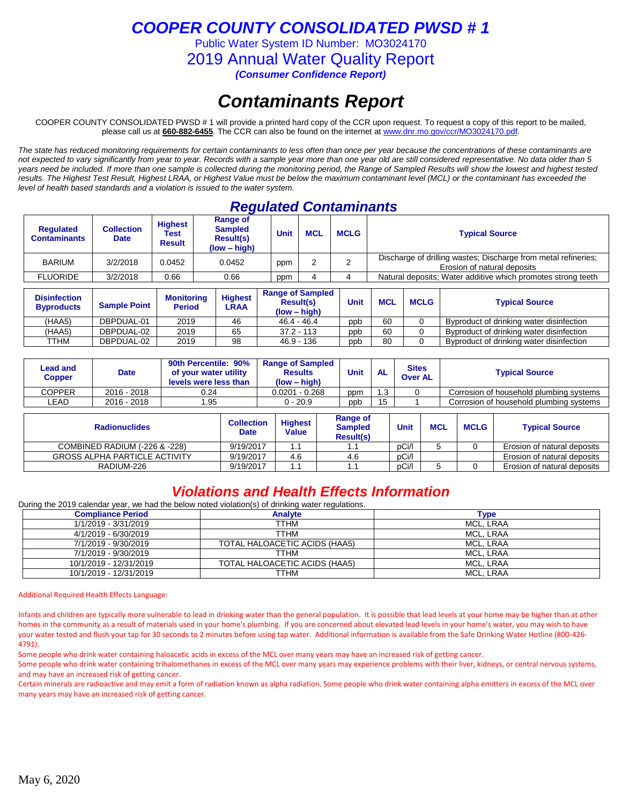Public Water System ID Number: MO3024170

2019 Annual Water Quality Report

*(Consumer Confidence Report)*

# *Contaminants Report*

COOPER COUNTY CONSOLIDATED PWSD # 1 will provide a printed hard copy of the CCR upon request. To request a copy of this report to be mailed, please call us at **660-882-6455***.* The CCR can also be found on the internet at www.dnr.mo.gov/ccr/MO3024170.pdf.

*The state has reduced monitoring requirements for certain contaminants to less often than once per year because the concentrations of these contaminants are not expected to vary significantly from year to year. Records with a sample year more than one year old are still considered representative. No data older than 5 years need be included. If more than one sample is collected during the monitoring period, the Range of Sampled Results will show the lowest and highest tested results. The Highest Test Result, Highest LRAA, or Highest Value must be below the maximum contaminant level (MCL) or the contaminant has exceeded the level of health based standards and a violation is issued to the water system.* 

## *Regulated Contaminants*

| <b>Requlated</b><br><b>Contaminants</b> | Collection<br><b>Date</b> | <b>Highest</b><br>Test<br><b>Result</b> | Range of<br><b>Sampled</b><br><b>Result(s)</b><br>(low – high) | <b>Unit</b> | <b>MCL</b> | <b>MCLG</b> | <b>Typical Source</b>                                                                         |
|-----------------------------------------|---------------------------|-----------------------------------------|----------------------------------------------------------------|-------------|------------|-------------|-----------------------------------------------------------------------------------------------|
| <b>BARIUM</b>                           | 3/2/2018                  | 0.0452                                  | 0.0452                                                         | ppm         |            |             | Discharge of drilling wastes; Discharge from metal refineries;<br>Erosion of natural deposits |
| <b>FLUORIDE</b>                         | 3/2/2018                  | 0.66                                    | 0.66                                                           | ppm         |            |             | Natural deposits; Water additive which promotes strong teeth                                  |

| <b>Disinfection</b><br><b>Byproducts</b> | <b>Sample Point</b> | <b>Monitoring</b><br><b>Period</b> | <b>Highest</b><br>LRAA | <b>Range of Sampled</b><br><b>Result(s)</b><br>$(low - high)$ | Unit | <b>MCL</b> | <b>MCLG</b> | <b>Typical Source</b>                    |
|------------------------------------------|---------------------|------------------------------------|------------------------|---------------------------------------------------------------|------|------------|-------------|------------------------------------------|
| (HAA5)                                   | DBPDUAL-01          | 2019                               | 46                     | $46.4 - 46.4$                                                 | ppb  | 60         |             | Byproduct of drinking water disinfection |
| (HAA5)                                   | DBPDUAL-02          | 2019                               | 65                     | $37.2 - 113$                                                  | ppb  | 60         |             | Byproduct of drinking water disinfection |
| TTHM                                     | DBPDUAL-02          | 2019                               | 98                     | $46.9 - 136$                                                  | ppb  | 80         |             | Byproduct of drinking water disinfection |

| Lead and<br>Copper | Date        | 90th Percentile: 90%<br>of your water utility<br>levels were less than | <b>Range of Sampled</b><br><b>Results</b><br>$(low - high)$ | <b>Unit</b> | <b>AL</b> | <b>Sites</b><br><b>Over AL</b> | <b>Typical Source</b>                   |
|--------------------|-------------|------------------------------------------------------------------------|-------------------------------------------------------------|-------------|-----------|--------------------------------|-----------------------------------------|
| <b>COPPER</b>      | 2016 - 2018 | 0.24                                                                   | $0.0201 - 0.268$                                            | ppm         | .3        |                                | Corrosion of household plumbing systems |
| ∟EAD               | 2016 - 2018 | .95                                                                    | 0 - 20.9                                                    | ppb         | 15        |                                | Corrosion of household plumbing systems |

| <b>Radionuclides</b>                 | <b>Highest</b><br><b>Collection</b><br><b>Date</b><br>Value |     | Range of<br><b>Sampled</b><br><b>Result(s)</b> | Unit  | <b>MCL</b> | <b>MCLG</b> | <b>Typical Source</b>       |  |
|--------------------------------------|-------------------------------------------------------------|-----|------------------------------------------------|-------|------------|-------------|-----------------------------|--|
| COMBINED RADIUM (-226 & -228)        | 9/19/2017                                                   |     |                                                | pCi/l |            |             | Erosion of natural deposits |  |
| <b>GROSS ALPHA PARTICLE ACTIVITY</b> | 9/19/2017                                                   | 4.6 | 4.6                                            | pCi/l |            |             | Erosion of natural deposits |  |
| RADIUM-226                           | 9/19/2017                                                   |     |                                                | pCi/l |            |             | Erosion of natural deposits |  |

## *Violations and Health Effects Information*

During the 2019 calendar year, we had the below noted violation(s) of drinking water regulations.

| <b>Compliance Period</b> | <b>Analyte</b>                | Type      |
|--------------------------|-------------------------------|-----------|
| 1/1/2019 - 3/31/2019     | TTHM                          | MCL. LRAA |
| 4/1/2019 - 6/30/2019     | TTHM                          | MCL. LRAA |
| 7/1/2019 - 9/30/2019     | TOTAL HALOACETIC ACIDS (HAA5) | MCL. LRAA |
| 7/1/2019 - 9/30/2019     | TTHM                          | MCL, LRAA |
| 10/1/2019 - 12/31/2019   | TOTAL HALOACETIC ACIDS (HAA5) | MCL. LRAA |
| 10/1/2019 - 12/31/2019   | TTHM                          | MCL. LRAA |

### Additional Required Health Effects Language:

Infants and children are typically more vulnerable to lead in drinking water than the general population. It is possible that lead levels at your home may be higher than at other homes in the community as a result of materials used in your home's plumbing. If you are concerned about elevated lead levels in your home's water, you may wish to have your water tested and flush your tap for 30 seconds to 2 minutes before using tap water. Additional information is available from the Safe Drinking Water Hotline (800-426- 4791).

Some people who drink water containing haloacetic acids in excess of the MCL over many years may have an increased risk of getting cancer.

Some people who drink water containing trihalomethanes in excess of the MCL over many years may experience problems with their liver, kidneys, or central nervous systems, and may have an increased risk of getting cancer.

Certain minerals are radioactive and may emit a form of radiation known as alpha radiation. Some people who drink water containing alpha emitters in excess of the MCL over many years may have an increased risk of getting cancer.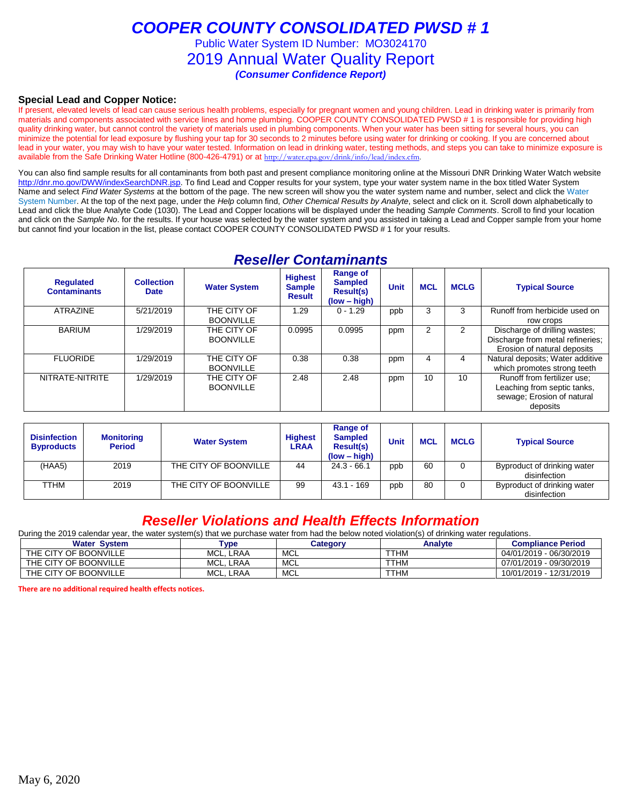Public Water System ID Number: MO3024170

2019 Annual Water Quality Report

*(Consumer Confidence Report)*

## **Special Lead and Copper Notice:**

If present, elevated levels of lead can cause serious health problems, especially for pregnant women and young children. Lead in drinking water is primarily from materials and components associated with service lines and home plumbing. COOPER COUNTY CONSOLIDATED PWSD # 1 is responsible for providing high quality drinking water, but cannot control the variety of materials used in plumbing components. When your water has been sitting for several hours, you can minimize the potential for lead exposure by flushing your tap for 30 seconds to 2 minutes before using water for drinking or cooking. If you are concerned about lead in your water, you may wish to have your water tested. Information on lead in drinking water, testing methods, and steps you can take to minimize exposure is available from the Safe Drinking Water Hotline (800-426-4791) or at [http://water.epa.gov/drink/info/lead/index.cfm.](http://water.epa.gov/drink/info/lead/index.cfm)

You can also find sample results for all contaminants from both past and present compliance monitoring online at the Missouri DNR Drinking Water Watch website [http://dnr.mo.gov/DWW/indexSearchDNR.jsp.](http://dnr.mo.gov/DWW/indexSearchDNR.jsp) To find Lead and Copper results for your system, type your water system name in the box titled Water System Name and select *Find Water Systems* at the bottom of the page. The new screen will show you the water system name and number, select and click the Water System Number. At the top of the next page, under the *Help* column find, *Other Chemical Results by Analyte*, select and click on it. Scroll down alphabetically to Lead and click the blue Analyte Code (1030). The Lead and Copper locations will be displayed under the heading *Sample Comments*. Scroll to find your location and click on the *Sample No*. for the results. If your house was selected by the water system and you assisted in taking a Lead and Copper sample from your home but cannot find your location in the list, please contact COOPER COUNTY CONSOLIDATED PWSD # 1 for your results.

## *Reseller Contaminants*

| <b>Regulated</b><br><b>Contaminants</b> | <b>Collection</b><br><b>Date</b> | <b>Water System</b>             | <b>Highest</b><br><b>Sample</b><br><b>Result</b> | Range of<br><b>Sampled</b><br><b>Result(s)</b><br>$(low - high)$ | <b>Unit</b> | <b>MCL</b>     | <b>MCLG</b> | <b>Typical Source</b>                                                                                |
|-----------------------------------------|----------------------------------|---------------------------------|--------------------------------------------------|------------------------------------------------------------------|-------------|----------------|-------------|------------------------------------------------------------------------------------------------------|
| <b>ATRAZINE</b>                         | 5/21/2019                        | THE CITY OF<br><b>BOONVILLE</b> | 1.29                                             | $0 - 1.29$                                                       | ppb         | 3              | 3           | Runoff from herbicide used on<br>row crops                                                           |
| <b>BARIUM</b>                           | 1/29/2019                        | THE CITY OF<br><b>BOONVILLE</b> | 0.0995                                           | 0.0995                                                           | ppm         | $\overline{2}$ | 2           | Discharge of drilling wastes;<br>Discharge from metal refineries;<br>Erosion of natural deposits     |
| <b>FLUORIDE</b>                         | 1/29/2019                        | THE CITY OF<br><b>BOONVILLE</b> | 0.38                                             | 0.38                                                             | ppm         | 4              | 4           | Natural deposits; Water additive<br>which promotes strong teeth                                      |
| NITRATE-NITRITE                         | 1/29/2019                        | THE CITY OF<br><b>BOONVILLE</b> | 2.48                                             | 2.48                                                             | ppm         | 10             | 10          | Runoff from fertilizer use;<br>Leaching from septic tanks,<br>sewage; Erosion of natural<br>deposits |

| <b>Monitoring</b><br><b>Period</b> | <b>Water System</b>   | <b>Highest</b><br>LRAA | <b>Range of</b><br><b>Sampled</b><br><b>Result(s)</b><br>$(low - high)$ | <b>Unit</b> | <b>MCL</b> | <b>MCLG</b> | <b>Typical Source</b>                       |
|------------------------------------|-----------------------|------------------------|-------------------------------------------------------------------------|-------------|------------|-------------|---------------------------------------------|
| 2019                               | THE CITY OF BOONVILLE | 44                     | $24.3 - 66.1$                                                           | ppb         | 60         |             | Byproduct of drinking water<br>disinfection |
|                                    |                       |                        |                                                                         |             |            |             |                                             |
| 2019                               | THE CITY OF BOONVILLE | 99                     | $43.1 - 169$                                                            | ppb         | 80         |             | Byproduct of drinking water<br>disinfection |
|                                    |                       |                        |                                                                         |             |            |             |                                             |

## *Reseller Violations and Health Effects Information*

During the 2019 calendar year, the water system(s) that we purchase water from had the below noted violation(s) of drinking water regulations.

| <b>Water System</b>   | <b>Type</b>    | Category   | Analyte     | <b>Compliance Period</b> |
|-----------------------|----------------|------------|-------------|--------------------------|
| THE CITY OF BOONVILLE | MCL.<br>. LRAA | MCL        | TTHM        | 04/01/2019 - 06/30/2019  |
| THE CITY OF BOONVILLE | MCL.<br>. LRAA | MCL        | <b>TTHM</b> | 07/01/2019 - 09/30/2019  |
| THE CITY OF BOONVILLE | MCL<br>. LRAA  | <b>MCL</b> | <b>TTHM</b> | 10/01/2019 - 12/31/2019  |

**There are no additional required health effects notices.**